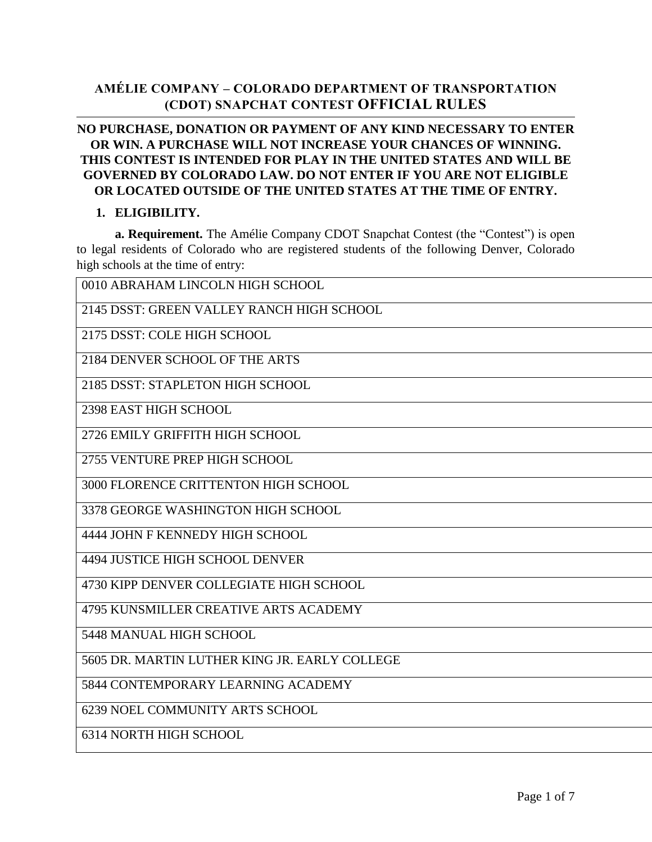## **AMÉLIE COMPANY – COLORADO DEPARTMENT OF TRANSPORTATION (CDOT) SNAPCHAT CONTEST OFFICIAL RULES**

## **NO PURCHASE, DONATION OR PAYMENT OF ANY KIND NECESSARY TO ENTER OR WIN. A PURCHASE WILL NOT INCREASE YOUR CHANCES OF WINNING. THIS CONTEST IS INTENDED FOR PLAY IN THE UNITED STATES AND WILL BE GOVERNED BY COLORADO LAW. DO NOT ENTER IF YOU ARE NOT ELIGIBLE OR LOCATED OUTSIDE OF THE UNITED STATES AT THE TIME OF ENTRY.**

#### **1. ELIGIBILITY.**

**a. Requirement.** The Amélie Company CDOT Snapchat Contest (the "Contest") is open to legal residents of Colorado who are registered students of the following Denver, Colorado high schools at the time of entry:

0010 ABRAHAM LINCOLN HIGH SCHOOL

2145 DSST: GREEN VALLEY RANCH HIGH SCHOOL

2175 DSST: COLE HIGH SCHOOL

2184 DENVER SCHOOL OF THE ARTS

2185 DSST: STAPLETON HIGH SCHOOL

2398 EAST HIGH SCHOOL

2726 EMILY GRIFFITH HIGH SCHOOL

2755 VENTURE PREP HIGH SCHOOL

3000 FLORENCE CRITTENTON HIGH SCHOOL

3378 GEORGE WASHINGTON HIGH SCHOOL

4444 JOHN F KENNEDY HIGH SCHOOL

4494 JUSTICE HIGH SCHOOL DENVER

4730 KIPP DENVER COLLEGIATE HIGH SCHOOL

4795 KUNSMILLER CREATIVE ARTS ACADEMY

5448 MANUAL HIGH SCHOOL

5605 DR. MARTIN LUTHER KING JR. EARLY COLLEGE

5844 CONTEMPORARY LEARNING ACADEMY

6239 NOEL COMMUNITY ARTS SCHOOL

6314 NORTH HIGH SCHOOL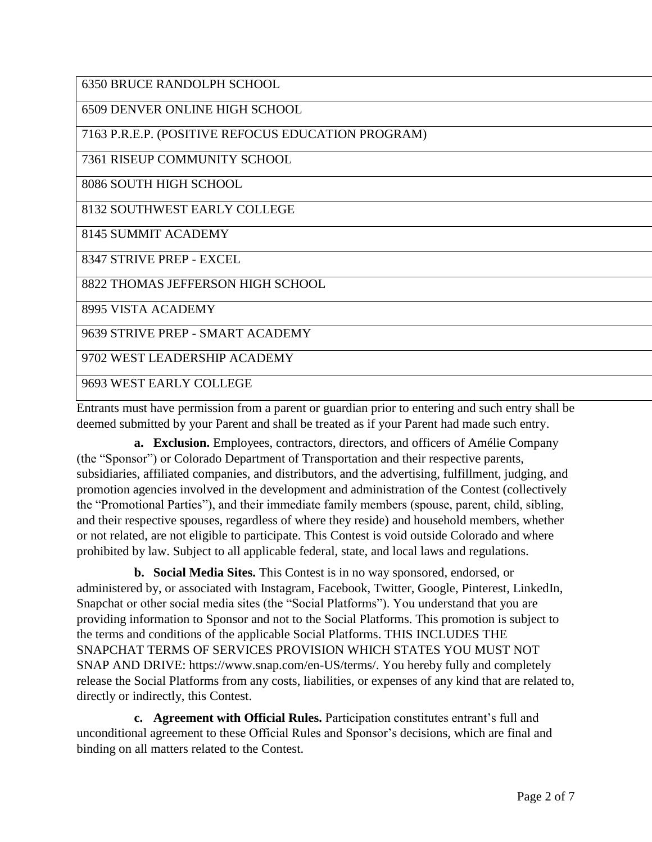6350 BRUCE RANDOLPH SCHOOL

6509 DENVER ONLINE HIGH SCHOOL

7163 P.R.E.P. (POSITIVE REFOCUS EDUCATION PROGRAM)

7361 RISEUP COMMUNITY SCHOOL

8086 SOUTH HIGH SCHOOL

8132 SOUTHWEST EARLY COLLEGE

8145 SUMMIT ACADEMY

8347 STRIVE PREP - EXCEL

8822 THOMAS JEFFERSON HIGH SCHOOL

8995 VISTA ACADEMY

9639 STRIVE PREP - SMART ACADEMY

9702 WEST LEADERSHIP ACADEMY

9693 WEST EARLY COLLEGE

Entrants must have permission from a parent or guardian prior to entering and such entry shall be deemed submitted by your Parent and shall be treated as if your Parent had made such entry.

**a. Exclusion.** Employees, contractors, directors, and officers of Amélie Company (the "Sponsor") or Colorado Department of Transportation and their respective parents, subsidiaries, affiliated companies, and distributors, and the advertising, fulfillment, judging, and promotion agencies involved in the development and administration of the Contest (collectively the "Promotional Parties"), and their immediate family members (spouse, parent, child, sibling, and their respective spouses, regardless of where they reside) and household members, whether or not related, are not eligible to participate. This Contest is void outside Colorado and where prohibited by law. Subject to all applicable federal, state, and local laws and regulations.

**b. Social Media Sites.** This Contest is in no way sponsored, endorsed, or administered by, or associated with Instagram, Facebook, Twitter, Google, Pinterest, LinkedIn, Snapchat or other social media sites (the "Social Platforms"). You understand that you are providing information to Sponsor and not to the Social Platforms. This promotion is subject to the terms and conditions of the applicable Social Platforms. THIS INCLUDES THE SNAPCHAT TERMS OF SERVICES PROVISION WHICH STATES YOU MUST NOT SNAP AND DRIVE: https://www.snap.com/en-US/terms/. You hereby fully and completely release the Social Platforms from any costs, liabilities, or expenses of any kind that are related to, directly or indirectly, this Contest.

**c. Agreement with Official Rules.** Participation constitutes entrant's full and unconditional agreement to these Official Rules and Sponsor's decisions, which are final and binding on all matters related to the Contest.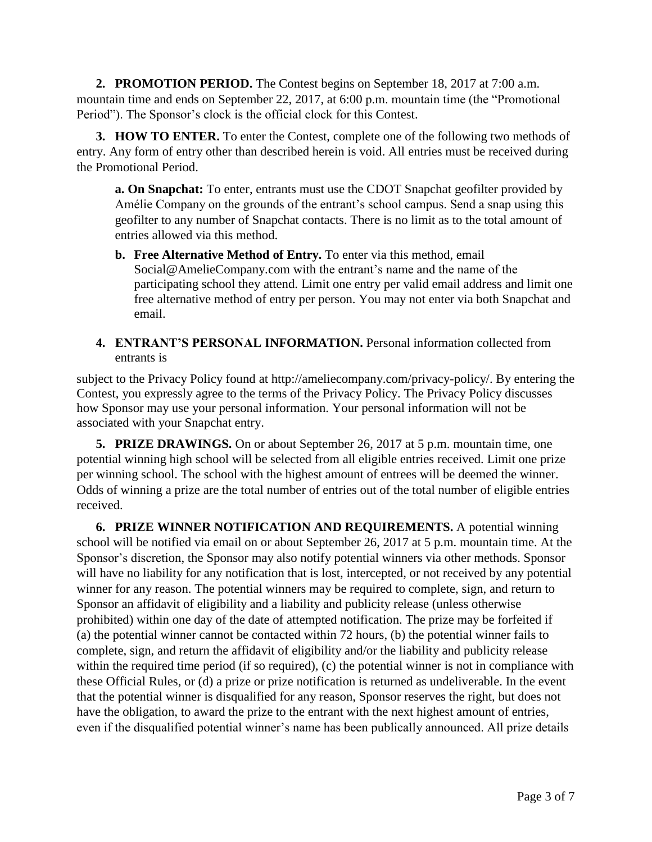**2. PROMOTION PERIOD.** The Contest begins on September 18, 2017 at 7:00 a.m. mountain time and ends on September 22, 2017, at 6:00 p.m. mountain time (the "Promotional Period"). The Sponsor's clock is the official clock for this Contest.

**3. HOW TO ENTER.** To enter the Contest, complete one of the following two methods of entry. Any form of entry other than described herein is void. All entries must be received during the Promotional Period.

**a. On Snapchat:** To enter, entrants must use the CDOT Snapchat geofilter provided by Amélie Company on the grounds of the entrant's school campus. Send a snap using this geofilter to any number of Snapchat contacts. There is no limit as to the total amount of entries allowed via this method.

- **b. Free Alternative Method of Entry.** To enter via this method, email Social@AmelieCompany.com with the entrant's name and the name of the participating school they attend. Limit one entry per valid email address and limit one free alternative method of entry per person. You may not enter via both Snapchat and email.
- **4. ENTRANT'S PERSONAL INFORMATION.** Personal information collected from entrants is

subject to the Privacy Policy found at http://ameliecompany.com/privacy-policy/. By entering the Contest, you expressly agree to the terms of the Privacy Policy. The Privacy Policy discusses how Sponsor may use your personal information. Your personal information will not be associated with your Snapchat entry.

**5. PRIZE DRAWINGS.** On or about September 26, 2017 at 5 p.m. mountain time, one potential winning high school will be selected from all eligible entries received. Limit one prize per winning school. The school with the highest amount of entrees will be deemed the winner. Odds of winning a prize are the total number of entries out of the total number of eligible entries received.

**6. PRIZE WINNER NOTIFICATION AND REQUIREMENTS.** A potential winning school will be notified via email on or about September 26, 2017 at 5 p.m. mountain time. At the Sponsor's discretion, the Sponsor may also notify potential winners via other methods. Sponsor will have no liability for any notification that is lost, intercepted, or not received by any potential winner for any reason. The potential winners may be required to complete, sign, and return to Sponsor an affidavit of eligibility and a liability and publicity release (unless otherwise prohibited) within one day of the date of attempted notification. The prize may be forfeited if (a) the potential winner cannot be contacted within 72 hours, (b) the potential winner fails to complete, sign, and return the affidavit of eligibility and/or the liability and publicity release within the required time period (if so required), (c) the potential winner is not in compliance with these Official Rules, or (d) a prize or prize notification is returned as undeliverable. In the event that the potential winner is disqualified for any reason, Sponsor reserves the right, but does not have the obligation, to award the prize to the entrant with the next highest amount of entries, even if the disqualified potential winner's name has been publically announced. All prize details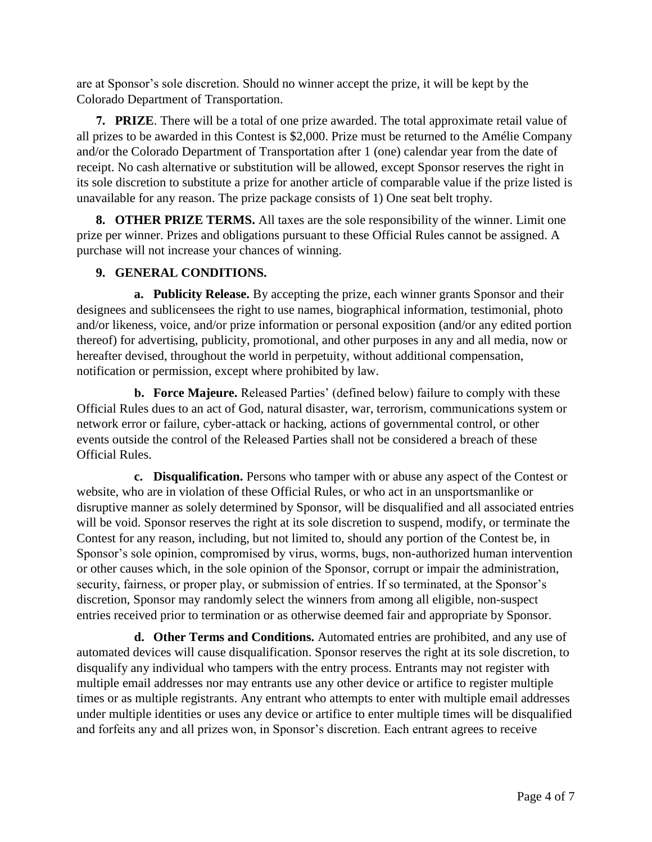are at Sponsor's sole discretion. Should no winner accept the prize, it will be kept by the Colorado Department of Transportation.

**7. PRIZE**. There will be a total of one prize awarded. The total approximate retail value of all prizes to be awarded in this Contest is \$2,000. Prize must be returned to the Amélie Company and/or the Colorado Department of Transportation after 1 (one) calendar year from the date of receipt. No cash alternative or substitution will be allowed, except Sponsor reserves the right in its sole discretion to substitute a prize for another article of comparable value if the prize listed is unavailable for any reason. The prize package consists of 1) One seat belt trophy.

**8. OTHER PRIZE TERMS.** All taxes are the sole responsibility of the winner. Limit one prize per winner. Prizes and obligations pursuant to these Official Rules cannot be assigned. A purchase will not increase your chances of winning.

## **9. GENERAL CONDITIONS.**

**a. Publicity Release.** By accepting the prize, each winner grants Sponsor and their designees and sublicensees the right to use names, biographical information, testimonial, photo and/or likeness, voice, and/or prize information or personal exposition (and/or any edited portion thereof) for advertising, publicity, promotional, and other purposes in any and all media, now or hereafter devised, throughout the world in perpetuity, without additional compensation, notification or permission, except where prohibited by law.

**b. Force Majeure.** Released Parties' (defined below) failure to comply with these Official Rules dues to an act of God, natural disaster, war, terrorism, communications system or network error or failure, cyber-attack or hacking, actions of governmental control, or other events outside the control of the Released Parties shall not be considered a breach of these Official Rules.

**c. Disqualification.** Persons who tamper with or abuse any aspect of the Contest or website, who are in violation of these Official Rules, or who act in an unsportsmanlike or disruptive manner as solely determined by Sponsor, will be disqualified and all associated entries will be void. Sponsor reserves the right at its sole discretion to suspend, modify, or terminate the Contest for any reason, including, but not limited to, should any portion of the Contest be, in Sponsor's sole opinion, compromised by virus, worms, bugs, non-authorized human intervention or other causes which, in the sole opinion of the Sponsor, corrupt or impair the administration, security, fairness, or proper play, or submission of entries. If so terminated, at the Sponsor's discretion, Sponsor may randomly select the winners from among all eligible, non-suspect entries received prior to termination or as otherwise deemed fair and appropriate by Sponsor.

**d. Other Terms and Conditions.** Automated entries are prohibited, and any use of automated devices will cause disqualification. Sponsor reserves the right at its sole discretion, to disqualify any individual who tampers with the entry process. Entrants may not register with multiple email addresses nor may entrants use any other device or artifice to register multiple times or as multiple registrants. Any entrant who attempts to enter with multiple email addresses under multiple identities or uses any device or artifice to enter multiple times will be disqualified and forfeits any and all prizes won, in Sponsor's discretion. Each entrant agrees to receive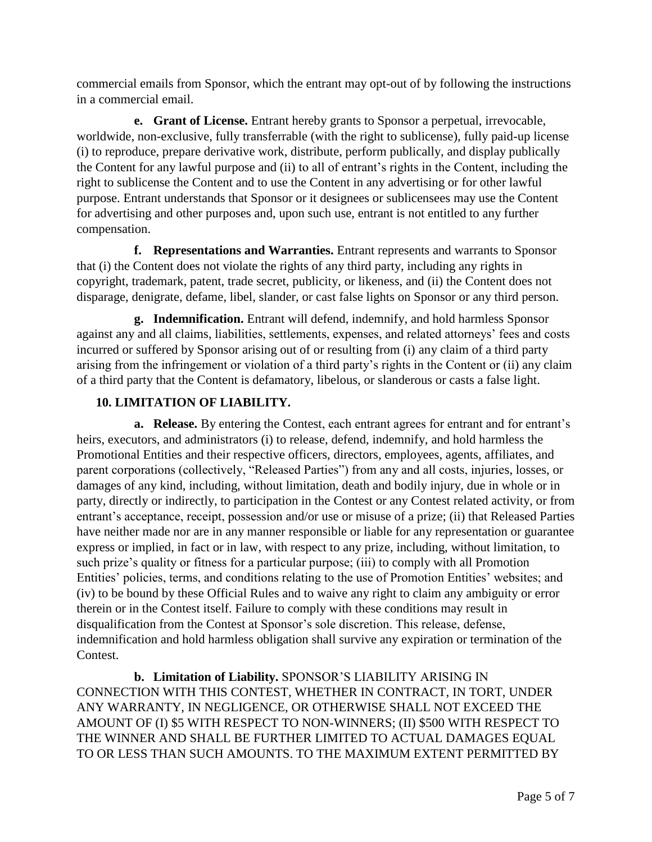commercial emails from Sponsor, which the entrant may opt-out of by following the instructions in a commercial email.

**e. Grant of License.** Entrant hereby grants to Sponsor a perpetual, irrevocable, worldwide, non-exclusive, fully transferrable (with the right to sublicense), fully paid-up license (i) to reproduce, prepare derivative work, distribute, perform publically, and display publically the Content for any lawful purpose and (ii) to all of entrant's rights in the Content, including the right to sublicense the Content and to use the Content in any advertising or for other lawful purpose. Entrant understands that Sponsor or it designees or sublicensees may use the Content for advertising and other purposes and, upon such use, entrant is not entitled to any further compensation.

**f. Representations and Warranties.** Entrant represents and warrants to Sponsor that (i) the Content does not violate the rights of any third party, including any rights in copyright, trademark, patent, trade secret, publicity, or likeness, and (ii) the Content does not disparage, denigrate, defame, libel, slander, or cast false lights on Sponsor or any third person.

**g. Indemnification.** Entrant will defend, indemnify, and hold harmless Sponsor against any and all claims, liabilities, settlements, expenses, and related attorneys' fees and costs incurred or suffered by Sponsor arising out of or resulting from (i) any claim of a third party arising from the infringement or violation of a third party's rights in the Content or (ii) any claim of a third party that the Content is defamatory, libelous, or slanderous or casts a false light.

# **10. LIMITATION OF LIABILITY.**

**a. Release.** By entering the Contest, each entrant agrees for entrant and for entrant's heirs, executors, and administrators (i) to release, defend, indemnify, and hold harmless the Promotional Entities and their respective officers, directors, employees, agents, affiliates, and parent corporations (collectively, "Released Parties") from any and all costs, injuries, losses, or damages of any kind, including, without limitation, death and bodily injury, due in whole or in party, directly or indirectly, to participation in the Contest or any Contest related activity, or from entrant's acceptance, receipt, possession and/or use or misuse of a prize; (ii) that Released Parties have neither made nor are in any manner responsible or liable for any representation or guarantee express or implied, in fact or in law, with respect to any prize, including, without limitation, to such prize's quality or fitness for a particular purpose; (iii) to comply with all Promotion Entities' policies, terms, and conditions relating to the use of Promotion Entities' websites; and (iv) to be bound by these Official Rules and to waive any right to claim any ambiguity or error therein or in the Contest itself. Failure to comply with these conditions may result in disqualification from the Contest at Sponsor's sole discretion. This release, defense, indemnification and hold harmless obligation shall survive any expiration or termination of the Contest.

**b. Limitation of Liability.** SPONSOR'S LIABILITY ARISING IN CONNECTION WITH THIS CONTEST, WHETHER IN CONTRACT, IN TORT, UNDER ANY WARRANTY, IN NEGLIGENCE, OR OTHERWISE SHALL NOT EXCEED THE AMOUNT OF (I) \$5 WITH RESPECT TO NON-WINNERS; (II) \$500 WITH RESPECT TO THE WINNER AND SHALL BE FURTHER LIMITED TO ACTUAL DAMAGES EQUAL TO OR LESS THAN SUCH AMOUNTS. TO THE MAXIMUM EXTENT PERMITTED BY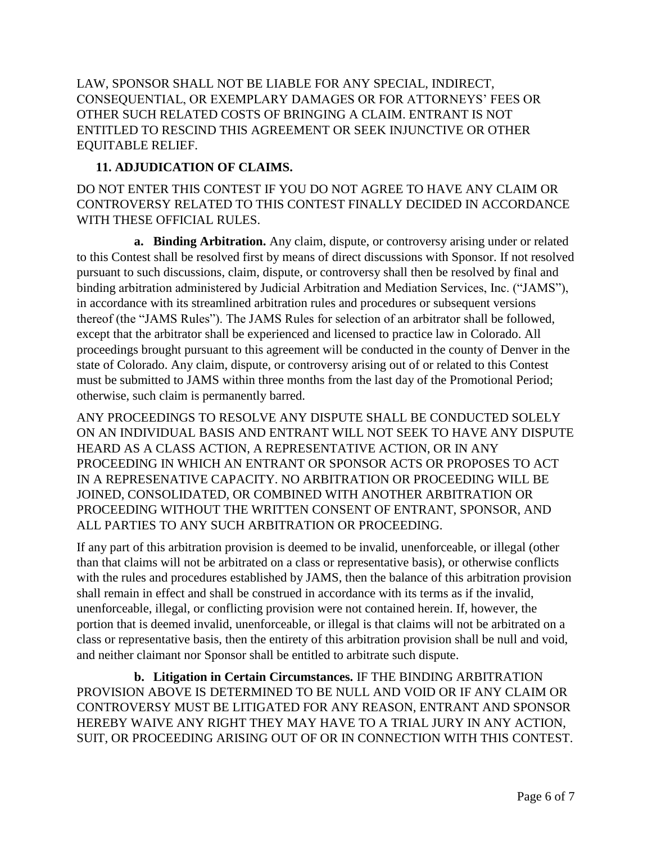LAW, SPONSOR SHALL NOT BE LIABLE FOR ANY SPECIAL, INDIRECT, CONSEQUENTIAL, OR EXEMPLARY DAMAGES OR FOR ATTORNEYS' FEES OR OTHER SUCH RELATED COSTS OF BRINGING A CLAIM. ENTRANT IS NOT ENTITLED TO RESCIND THIS AGREEMENT OR SEEK INJUNCTIVE OR OTHER EQUITABLE RELIEF.

#### **11. ADJUDICATION OF CLAIMS.**

DO NOT ENTER THIS CONTEST IF YOU DO NOT AGREE TO HAVE ANY CLAIM OR CONTROVERSY RELATED TO THIS CONTEST FINALLY DECIDED IN ACCORDANCE WITH THESE OFFICIAL RULES.

**a. Binding Arbitration.** Any claim, dispute, or controversy arising under or related to this Contest shall be resolved first by means of direct discussions with Sponsor. If not resolved pursuant to such discussions, claim, dispute, or controversy shall then be resolved by final and binding arbitration administered by Judicial Arbitration and Mediation Services, Inc. ("JAMS"), in accordance with its streamlined arbitration rules and procedures or subsequent versions thereof (the "JAMS Rules"). The JAMS Rules for selection of an arbitrator shall be followed, except that the arbitrator shall be experienced and licensed to practice law in Colorado. All proceedings brought pursuant to this agreement will be conducted in the county of Denver in the state of Colorado. Any claim, dispute, or controversy arising out of or related to this Contest must be submitted to JAMS within three months from the last day of the Promotional Period; otherwise, such claim is permanently barred.

ANY PROCEEDINGS TO RESOLVE ANY DISPUTE SHALL BE CONDUCTED SOLELY ON AN INDIVIDUAL BASIS AND ENTRANT WILL NOT SEEK TO HAVE ANY DISPUTE HEARD AS A CLASS ACTION, A REPRESENTATIVE ACTION, OR IN ANY PROCEEDING IN WHICH AN ENTRANT OR SPONSOR ACTS OR PROPOSES TO ACT IN A REPRESENATIVE CAPACITY. NO ARBITRATION OR PROCEEDING WILL BE JOINED, CONSOLIDATED, OR COMBINED WITH ANOTHER ARBITRATION OR PROCEEDING WITHOUT THE WRITTEN CONSENT OF ENTRANT, SPONSOR, AND ALL PARTIES TO ANY SUCH ARBITRATION OR PROCEEDING.

If any part of this arbitration provision is deemed to be invalid, unenforceable, or illegal (other than that claims will not be arbitrated on a class or representative basis), or otherwise conflicts with the rules and procedures established by JAMS, then the balance of this arbitration provision shall remain in effect and shall be construed in accordance with its terms as if the invalid, unenforceable, illegal, or conflicting provision were not contained herein. If, however, the portion that is deemed invalid, unenforceable, or illegal is that claims will not be arbitrated on a class or representative basis, then the entirety of this arbitration provision shall be null and void, and neither claimant nor Sponsor shall be entitled to arbitrate such dispute.

**b. Litigation in Certain Circumstances.** IF THE BINDING ARBITRATION PROVISION ABOVE IS DETERMINED TO BE NULL AND VOID OR IF ANY CLAIM OR CONTROVERSY MUST BE LITIGATED FOR ANY REASON, ENTRANT AND SPONSOR HEREBY WAIVE ANY RIGHT THEY MAY HAVE TO A TRIAL JURY IN ANY ACTION, SUIT, OR PROCEEDING ARISING OUT OF OR IN CONNECTION WITH THIS CONTEST.